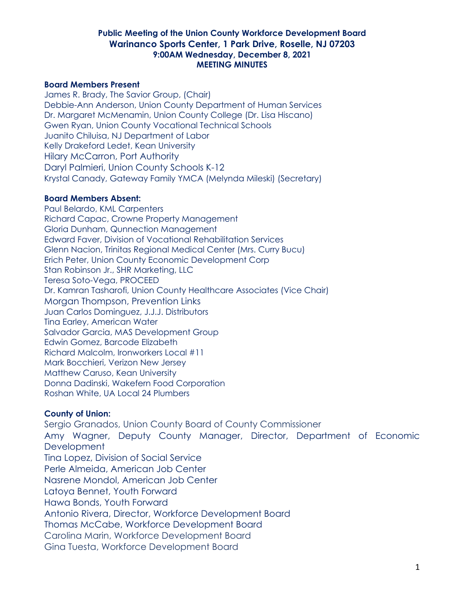#### **Board Members Present**

James R. Brady, The Savior Group, (Chair) Debbie-Ann Anderson, Union County Department of Human Services Dr. Margaret McMenamin, Union County College (Dr. Lisa Hiscano) Gwen Ryan, Union County Vocational Technical Schools Juanito Chiluisa, NJ Department of Labor Kelly Drakeford Ledet, Kean University Hilary McCarron, Port Authority Daryl Palmieri, Union County Schools K-12 Krystal Canady, Gateway Family YMCA (Melynda Mileski) (Secretary)

#### **Board Members Absent:**

Paul Belardo, KML Carpenters Richard Capac, Crowne Property Management Gloria Dunham, Qunnection Management Edward Faver, Division of Vocational Rehabilitation Services Glenn Nacion, Trinitas Regional Medical Center (Mrs. Curry Bucu) Erich Peter, Union County Economic Development Corp Stan Robinson Jr., SHR Marketing, LLC Teresa Soto-Vega, PROCEED Dr. Kamran Tasharofi, Union County Healthcare Associates (Vice Chair) Morgan Thompson, Prevention Links Juan Carlos Dominguez, J.J.J. Distributors Tina Earley, American Water Salvador Garcia, MAS Development Group Edwin Gomez, Barcode Elizabeth Richard Malcolm, Ironworkers Local #11 Mark Bocchieri, Verizon New Jersey Matthew Caruso, Kean University Donna Dadinski, Wakefern Food Corporation Roshan White, UA Local 24 Plumbers

## **County of Union:**

Sergio Granados, Union County Board of County Commissioner Amy Wagner, Deputy County Manager, Director, Department of Economic **Development** Tina Lopez, Division of Social Service Perle Almeida, American Job Center Nasrene Mondol, American Job Center Latoya Bennet, Youth Forward Hawa Bonds, Youth Forward Antonio Rivera, Director, Workforce Development Board Thomas McCabe, Workforce Development Board Carolina Marin, Workforce Development Board Gina Tuesta, Workforce Development Board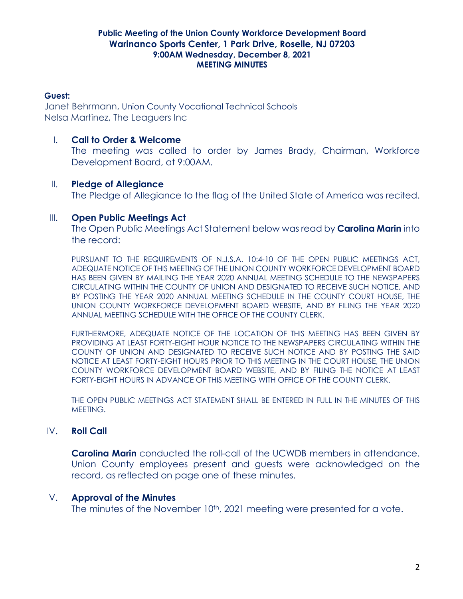#### **Guest:**

Janet Behrmann, Union County Vocational Technical Schools Nelsa Martinez, The Leaguers Inc

## I. **Call to Order & Welcome**

The meeting was called to order by James Brady, Chairman, Workforce Development Board, at 9:00AM.

## II. **Pledge of Allegiance**

The Pledge of Allegiance to the flag of the United State of America was recited.

## III. **Open Public Meetings Act**

The Open Public Meetings Act Statement below was read by **Carolina Marin** into the record:

PURSUANT TO THE REQUIREMENTS OF N.J.S.A. 10:4-10 OF THE OPEN PUBLIC MEETINGS ACT, ADEQUATE NOTICE OF THIS MEETING OF THE UNION COUNTY WORKFORCE DEVELOPMENT BOARD HAS BEEN GIVEN BY MAILING THE YEAR 2020 ANNUAL MEETING SCHEDULE TO THE NEWSPAPERS CIRCULATING WITHIN THE COUNTY OF UNION AND DESIGNATED TO RECEIVE SUCH NOTICE, AND BY POSTING THE YEAR 2020 ANNUAL MEETING SCHEDULE IN THE COUNTY COURT HOUSE, THE UNION COUNTY WORKFORCE DEVELOPMENT BOARD WEBSITE, AND BY FILING THE YEAR 2020 ANNUAL MEETING SCHEDULE WITH THE OFFICE OF THE COUNTY CLERK.

FURTHERMORE, ADEQUATE NOTICE OF THE LOCATION OF THIS MEETING HAS BEEN GIVEN BY PROVIDING AT LEAST FORTY-EIGHT HOUR NOTICE TO THE NEWSPAPERS CIRCULATING WITHIN THE COUNTY OF UNION AND DESIGNATED TO RECEIVE SUCH NOTICE AND BY POSTING THE SAID NOTICE AT LEAST FORTY-EIGHT HOURS PRIOR TO THIS MEETING IN THE COURT HOUSE, THE UNION COUNTY WORKFORCE DEVELOPMENT BOARD WEBSITE, AND BY FILING THE NOTICE AT LEAST FORTY-EIGHT HOURS IN ADVANCE OF THIS MEETING WITH OFFICE OF THE COUNTY CLERK.

THE OPEN PUBLIC MEETINGS ACT STATEMENT SHALL BE ENTERED IN FULL IN THE MINUTES OF THIS MEETING.

## IV. **Roll Call**

**Carolina Marin** conducted the roll-call of the UCWDB members in attendance. Union County employees present and guests were acknowledged on the record, as reflected on page one of these minutes.

## V. **Approval of the Minutes**

The minutes of the November 10<sup>th</sup>, 2021 meeting were presented for a vote.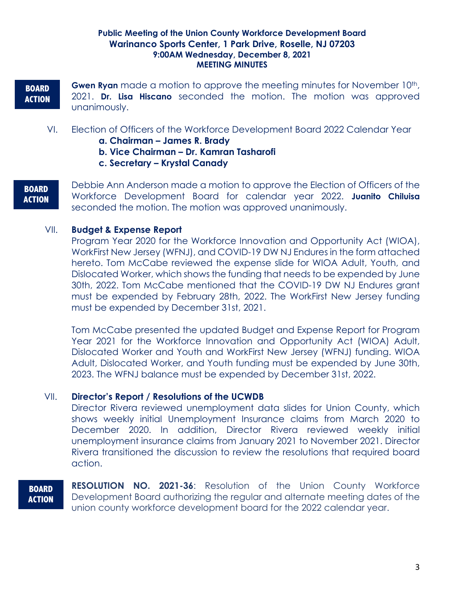## **BOARD ACTION**

**Gwen Ryan** made a motion to approve the meeting minutes for November 10<sup>th</sup>, 2021. **Dr. Lisa Hiscano** seconded the motion. The motion was approved unanimously.

- VI. Election of Officers of the Workforce Development Board 2022 Calendar Year
	- **a. Chairman – James R. Brady**
	- **b. Vice Chairman – Dr. Kamran Tasharofi**
	- **c. Secretary – Krystal Canady**
- **BOARD ACTION**

Debbie Ann Anderson made a motion to approve the Election of Officers of the Workforce Development Board for calendar year 2022. **Juanito Chiluisa** seconded the motion. The motion was approved unanimously.

## VII. **Budget & Expense Report**

Program Year 2020 for the Workforce Innovation and Opportunity Act (WIOA), WorkFirst New Jersey (WFNJ), and COVID-19 DW NJ Endures in the form attached hereto. Tom McCabe reviewed the expense slide for WIOA Adult, Youth, and Dislocated Worker, which shows the funding that needs to be expended by June 30th, 2022. Tom McCabe mentioned that the COVID-19 DW NJ Endures grant must be expended by February 28th, 2022. The WorkFirst New Jersey funding must be expended by December 31st, 2021.

Tom McCabe presented the updated Budget and Expense Report for Program Year 2021 for the Workforce Innovation and Opportunity Act (WIOA) Adult, Dislocated Worker and Youth and WorkFirst New Jersey (WFNJ) funding. WIOA Adult, Dislocated Worker, and Youth funding must be expended by June 30th, 2023. The WFNJ balance must be expended by December 31st, 2022.

## VII. **Director's Report / Resolutions of the UCWDB**

Director Rivera reviewed unemployment data slides for Union County, which shows weekly initial Unemployment Insurance claims from March 2020 to December 2020. In addition, Director Rivera reviewed weekly initial unemployment insurance claims from January 2021 to November 2021. Director Rivera transitioned the discussion to review the resolutions that required board action.

**BOARD ACTION**

**RESOLUTION NO. 2021-36**: Resolution of the Union County Workforce Development Board authorizing the regular and alternate meeting dates of the union county workforce development board for the 2022 calendar year.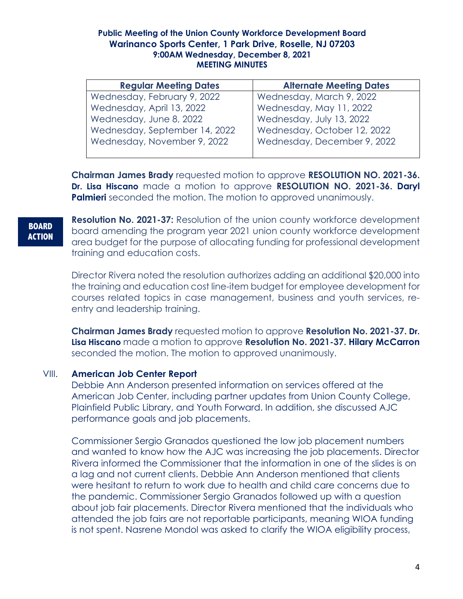| <b>Regular Meeting Dates</b>  | <b>Alternate Meeting Dates</b> |
|-------------------------------|--------------------------------|
| Wednesday, February 9, 2022   | Wednesday, March 9, 2022       |
| Wednesday, April 13, 2022     | Wednesday, May 11, 2022        |
| Wednesday, June 8, 2022       | Wednesday, July 13, 2022       |
| Wednesday, September 14, 2022 | Wednesday, October 12, 2022    |
| Wednesday, November 9, 2022   | Wednesday, December 9, 2022    |
|                               |                                |

**Chairman James Brady** requested motion to approve **RESOLUTION NO. 2021-36. Dr. Lisa Hiscano** made a motion to approve **RESOLUTION NO. 2021-36. Daryl Palmieri** seconded the motion. The motion to approved unanimously.

#### **BOARD ACTION**

**Resolution No. 2021-37:** Resolution of the union county workforce development board amending the program year 2021 union county workforce development area budget for the purpose of allocating funding for professional development training and education costs.

Director Rivera noted the resolution authorizes adding an additional \$20,000 into the training and education cost line-item budget for employee development for courses related topics in case management, business and youth services, reentry and leadership training.

**Chairman James Brady** requested motion to approve **Resolution No. 2021-37. Dr. Lisa Hiscano** made a motion to approve **Resolution No. 2021-37. Hilary McCarron** seconded the motion. The motion to approved unanimously.

## VIII. **American Job Center Report**

Debbie Ann Anderson presented information on services offered at the American Job Center, including partner updates from Union County College, Plainfield Public Library, and Youth Forward. In addition, she discussed AJC performance goals and job placements.

Commissioner Sergio Granados questioned the low job placement numbers and wanted to know how the AJC was increasing the job placements. Director Rivera informed the Commissioner that the information in one of the slides is on a lag and not current clients. Debbie Ann Anderson mentioned that clients were hesitant to return to work due to health and child care concerns due to the pandemic. Commissioner Sergio Granados followed up with a question about job fair placements. Director Rivera mentioned that the individuals who attended the job fairs are not reportable participants, meaning WIOA funding is not spent. Nasrene Mondol was asked to clarify the WIOA eligibility process,